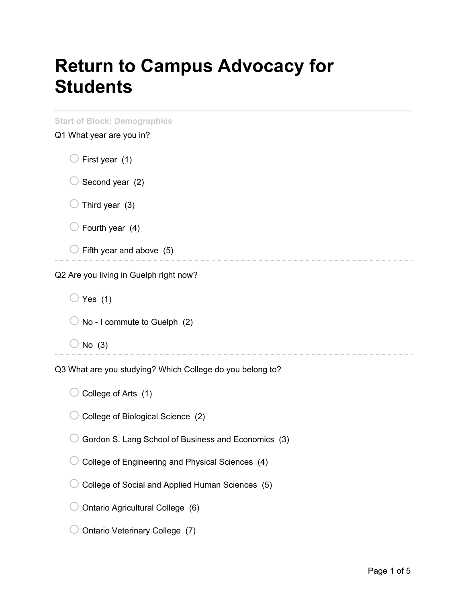## **Return to Campus Advocacy for Students**

| <b>Start of Block: Demographics</b><br>Q1 What year are you in? |  |  |
|-----------------------------------------------------------------|--|--|
| First year (1)                                                  |  |  |
| Second year (2)                                                 |  |  |
| Third year (3)                                                  |  |  |
| Fourth year (4)                                                 |  |  |
| Fifth year and above (5)                                        |  |  |
| Q2 Are you living in Guelph right now?                          |  |  |
| Yes $(1)$                                                       |  |  |
| No - I commute to Guelph (2)                                    |  |  |
| No $(3)$                                                        |  |  |
| Q3 What are you studying? Which College do you belong to?       |  |  |
| College of Arts (1)                                             |  |  |
| College of Biological Science (2)                               |  |  |
| Gordon S. Lang School of Business and Economics (3)             |  |  |
| College of Engineering and Physical Sciences (4)                |  |  |
| College of Social and Applied Human Sciences (5)                |  |  |
| Ontario Agricultural College (6)                                |  |  |
| Ontario Veterinary College (7)                                  |  |  |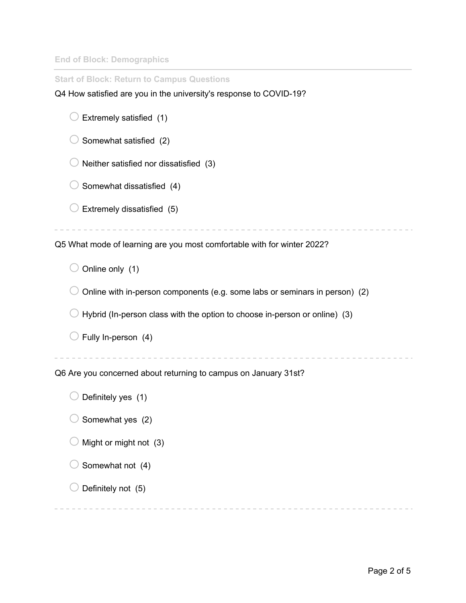**End of Block: Demographics**

| <b>Start of Block: Return to Campus Questions</b>                           |  |  |  |
|-----------------------------------------------------------------------------|--|--|--|
| Q4 How satisfied are you in the university's response to COVID-19?          |  |  |  |
| Extremely satisfied (1)                                                     |  |  |  |
| Somewhat satisfied (2)                                                      |  |  |  |
| Neither satisfied nor dissatisfied (3)                                      |  |  |  |
| Somewhat dissatisfied (4)                                                   |  |  |  |
| Extremely dissatisfied (5)                                                  |  |  |  |
|                                                                             |  |  |  |
| Q5 What mode of learning are you most comfortable with for winter 2022?     |  |  |  |
| Online only (1)                                                             |  |  |  |
| Online with in-person components (e.g. some labs or seminars in person) (2) |  |  |  |
| Hybrid (In-person class with the option to choose in-person or online) (3)  |  |  |  |
| Fully In-person (4)                                                         |  |  |  |
|                                                                             |  |  |  |
| Q6 Are you concerned about returning to campus on January 31st?             |  |  |  |
| Definitely yes (1)                                                          |  |  |  |
| Somewhat yes (2)                                                            |  |  |  |
| Might or might not (3)                                                      |  |  |  |
| Somewhat not (4)                                                            |  |  |  |
| Definitely not (5)                                                          |  |  |  |
|                                                                             |  |  |  |

---------------------------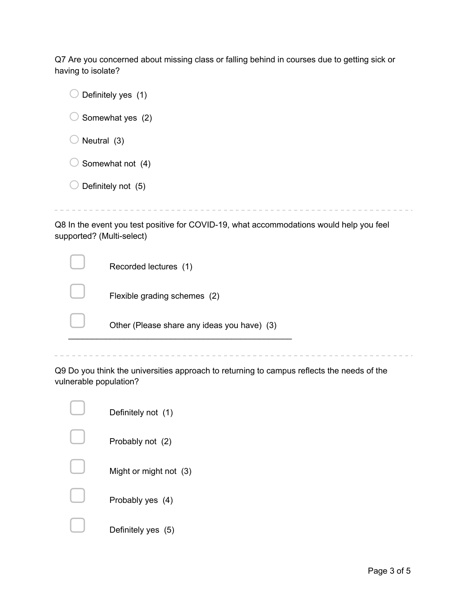Q7 Are you concerned about missing class or falling behind in courses due to getting sick or having to isolate?

|                                                                                                                      | Definitely yes (1)           |  |
|----------------------------------------------------------------------------------------------------------------------|------------------------------|--|
| Somewhat yes (2)                                                                                                     |                              |  |
| Neutral (3)                                                                                                          |                              |  |
| Somewhat not (4)                                                                                                     |                              |  |
| Definitely not (5)                                                                                                   |                              |  |
|                                                                                                                      |                              |  |
| Q8 In the event you test positive for COVID-19, what accommodations would help you feel<br>supported? (Multi-select) |                              |  |
|                                                                                                                      | Recorded lectures (1)        |  |
|                                                                                                                      | Flexible grading schemes (2) |  |

Other (Please share any ideas you have) (3)

 $\mathcal{L}_\text{max}$  and  $\mathcal{L}_\text{max}$  and  $\mathcal{L}_\text{max}$  and  $\mathcal{L}_\text{max}$ 

Q9 Do you think the universities approach to returning to campus reflects the needs of the vulnerable population?

| Definitely not (1)     |
|------------------------|
| Probably not (2)       |
| Might or might not (3) |
| Probably yes (4)       |
| Definitely yes (5)     |

 $\overline{\phantom{a}}$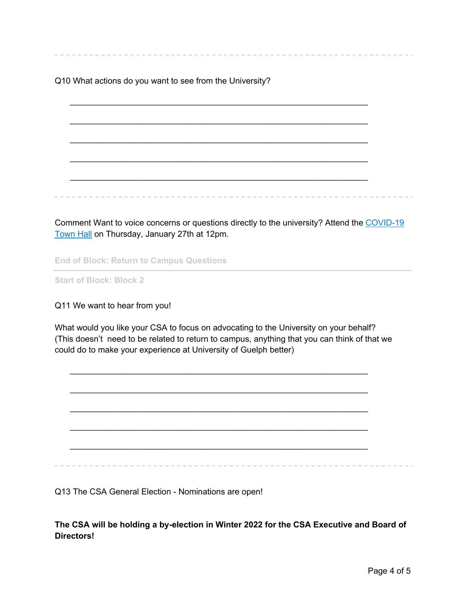Q10 What actions do you want to see from the University?

 $\mathcal{L}_\text{max} = \mathcal{L}_\text{max} = \mathcal{L}_\text{max} = \mathcal{L}_\text{max} = \mathcal{L}_\text{max} = \mathcal{L}_\text{max} = \mathcal{L}_\text{max} = \mathcal{L}_\text{max} = \mathcal{L}_\text{max} = \mathcal{L}_\text{max} = \mathcal{L}_\text{max} = \mathcal{L}_\text{max} = \mathcal{L}_\text{max} = \mathcal{L}_\text{max} = \mathcal{L}_\text{max} = \mathcal{L}_\text{max} = \mathcal{L}_\text{max} = \mathcal{L}_\text{max} = \mathcal{$  $\mathcal{L}_\text{max} = \mathcal{L}_\text{max} = \mathcal{L}_\text{max} = \mathcal{L}_\text{max} = \mathcal{L}_\text{max} = \mathcal{L}_\text{max} = \mathcal{L}_\text{max} = \mathcal{L}_\text{max} = \mathcal{L}_\text{max} = \mathcal{L}_\text{max} = \mathcal{L}_\text{max} = \mathcal{L}_\text{max} = \mathcal{L}_\text{max} = \mathcal{L}_\text{max} = \mathcal{L}_\text{max} = \mathcal{L}_\text{max} = \mathcal{L}_\text{max} = \mathcal{L}_\text{max} = \mathcal{$  $\mathcal{L}_\text{max} = \mathcal{L}_\text{max} = \mathcal{L}_\text{max} = \mathcal{L}_\text{max} = \mathcal{L}_\text{max} = \mathcal{L}_\text{max} = \mathcal{L}_\text{max} = \mathcal{L}_\text{max} = \mathcal{L}_\text{max} = \mathcal{L}_\text{max} = \mathcal{L}_\text{max} = \mathcal{L}_\text{max} = \mathcal{L}_\text{max} = \mathcal{L}_\text{max} = \mathcal{L}_\text{max} = \mathcal{L}_\text{max} = \mathcal{L}_\text{max} = \mathcal{L}_\text{max} = \mathcal{$  $\mathcal{L}_\text{max} = \mathcal{L}_\text{max} = \mathcal{L}_\text{max} = \mathcal{L}_\text{max} = \mathcal{L}_\text{max} = \mathcal{L}_\text{max} = \mathcal{L}_\text{max} = \mathcal{L}_\text{max} = \mathcal{L}_\text{max} = \mathcal{L}_\text{max} = \mathcal{L}_\text{max} = \mathcal{L}_\text{max} = \mathcal{L}_\text{max} = \mathcal{L}_\text{max} = \mathcal{L}_\text{max} = \mathcal{L}_\text{max} = \mathcal{L}_\text{max} = \mathcal{L}_\text{max} = \mathcal{$ 

Comment Want to voice concerns or questions directly to the university? Attend the COVID-19 Town Hall on Thursday, January 27th at 12pm.

**End of Block: Return to Campus Questions**

**Start of Block: Block 2**

Q11 We want to hear from you!

What would you like your CSA to focus on advocating to the University on your behalf? (This doesn't need to be related to return to campus, anything that you can think of that we could do to make your experience at University of Guelph better)

 $\mathcal{L}_\text{max} = \mathcal{L}_\text{max} = \mathcal{L}_\text{max} = \mathcal{L}_\text{max} = \mathcal{L}_\text{max} = \mathcal{L}_\text{max} = \mathcal{L}_\text{max} = \mathcal{L}_\text{max} = \mathcal{L}_\text{max} = \mathcal{L}_\text{max} = \mathcal{L}_\text{max} = \mathcal{L}_\text{max} = \mathcal{L}_\text{max} = \mathcal{L}_\text{max} = \mathcal{L}_\text{max} = \mathcal{L}_\text{max} = \mathcal{L}_\text{max} = \mathcal{L}_\text{max} = \mathcal{$ 

 $\mathcal{L}_\text{max} = \mathcal{L}_\text{max} = \mathcal{L}_\text{max} = \mathcal{L}_\text{max} = \mathcal{L}_\text{max} = \mathcal{L}_\text{max} = \mathcal{L}_\text{max} = \mathcal{L}_\text{max} = \mathcal{L}_\text{max} = \mathcal{L}_\text{max} = \mathcal{L}_\text{max} = \mathcal{L}_\text{max} = \mathcal{L}_\text{max} = \mathcal{L}_\text{max} = \mathcal{L}_\text{max} = \mathcal{L}_\text{max} = \mathcal{L}_\text{max} = \mathcal{L}_\text{max} = \mathcal{$ 

 $\mathcal{L}_\text{max} = \mathcal{L}_\text{max} = \mathcal{L}_\text{max} = \mathcal{L}_\text{max} = \mathcal{L}_\text{max} = \mathcal{L}_\text{max} = \mathcal{L}_\text{max} = \mathcal{L}_\text{max} = \mathcal{L}_\text{max} = \mathcal{L}_\text{max} = \mathcal{L}_\text{max} = \mathcal{L}_\text{max} = \mathcal{L}_\text{max} = \mathcal{L}_\text{max} = \mathcal{L}_\text{max} = \mathcal{L}_\text{max} = \mathcal{L}_\text{max} = \mathcal{L}_\text{max} = \mathcal{$ 

Q13 The CSA General Election - Nominations are open!

**The CSA will be holding a by-election in Winter 2022 for the CSA Executive and Board of Directors!**